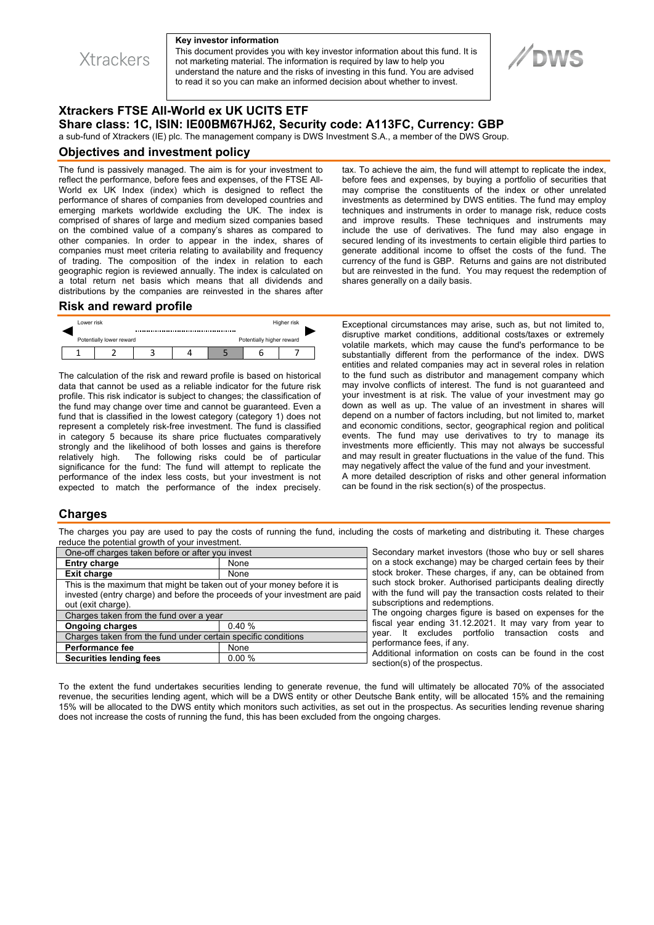

#### **Key investor information**

This document provides you with key investor information about this fund. It is not marketing material. The information is required by law to help you understand the nature and the risks of investing in this fund. You are advised to read it so you can make an informed decision about whether to invest.



# **Xtrackers FTSE All-World ex UK UCITS ETF Share class: 1C, ISIN: IE00BM67HJ62, Security code: A113FC, Currency: GBP**

a sub-fund of Xtrackers (IE) plc. The management company is DWS Investment S.A., a member of the DWS Group.

### **Objectives and investment policy**

The fund is passively managed. The aim is for your investment to reflect the performance, before fees and expenses, of the FTSE All-World ex UK Index (index) which is designed to reflect the performance of shares of companies from developed countries and emerging markets worldwide excluding the UK. The index is comprised of shares of large and medium sized companies based on the combined value of a company's shares as compared to other companies. In order to appear in the index, shares of companies must meet criteria relating to availability and frequency of trading. The composition of the index in relation to each geographic region is reviewed annually. The index is calculated on a total return net basis which means that all dividends and distributions by the companies are reinvested in the shares after tax. To achieve the aim, the fund will attempt to replicate the index, before fees and expenses, by buying a portfolio of securities that may comprise the constituents of the index or other unrelated investments as determined by DWS entities. The fund may employ techniques and instruments in order to manage risk, reduce costs and improve results. These techniques and instruments may include the use of derivatives. The fund may also engage in secured lending of its investments to certain eligible third parties to generate additional income to offset the costs of the fund. The currency of the fund is GBP. Returns and gains are not distributed but are reinvested in the fund. You may request the redemption of shares generally on a daily basis.

### **Risk and reward profile**

| Lower risk               |  | Higher risk               |  |  |  |
|--------------------------|--|---------------------------|--|--|--|
| Potentially lower reward |  | Potentially higher reward |  |  |  |
|                          |  |                           |  |  |  |

The calculation of the risk and reward profile is based on historical data that cannot be used as a reliable indicator for the future risk profile. This risk indicator is subject to changes; the classification of the fund may change over time and cannot be guaranteed. Even a fund that is classified in the lowest category (category 1) does not represent a completely risk-free investment. The fund is classified in category 5 because its share price fluctuates comparatively strongly and the likelihood of both losses and gains is therefore relatively high. The following risks could be of particular significance for the fund: The fund will attempt to replicate the performance of the index less costs, but your investment is not expected to match the performance of the index precisely.

Exceptional circumstances may arise, such as, but not limited to, disruptive market conditions, additional costs/taxes or extremely volatile markets, which may cause the fund's performance to be substantially different from the performance of the index. DWS entities and related companies may act in several roles in relation to the fund such as distributor and management company which may involve conflicts of interest. The fund is not guaranteed and your investment is at risk. The value of your investment may go down as well as up. The value of an investment in shares will depend on a number of factors including, but not limited to, market and economic conditions, sector, geographical region and political events. The fund may use derivatives to try to manage its investments more efficiently. This may not always be successful and may result in greater fluctuations in the value of the fund. This may negatively affect the value of the fund and your investment. A more detailed description of risks and other general information can be found in the risk section(s) of the prospectus.

## **Charges**

The charges you pay are used to pay the costs of running the fund, including the costs of marketing and distributing it. These charges reduce the potential growth of your investment.

| One-off charges taken before or after you invest                            |       |  |  |  |  |
|-----------------------------------------------------------------------------|-------|--|--|--|--|
| <b>Entry charge</b>                                                         | None  |  |  |  |  |
| <b>Exit charge</b>                                                          | None  |  |  |  |  |
| This is the maximum that might be taken out of your money before it is      |       |  |  |  |  |
| invested (entry charge) and before the proceeds of your investment are paid |       |  |  |  |  |
| out (exit charge).                                                          |       |  |  |  |  |
| Charges taken from the fund over a year                                     |       |  |  |  |  |
| <b>Ongoing charges</b>                                                      | 0.40% |  |  |  |  |
| Charges taken from the fund under certain specific conditions               |       |  |  |  |  |
| <b>Performance fee</b>                                                      | None  |  |  |  |  |
| <b>Securities lending fees</b>                                              | 0.00% |  |  |  |  |
|                                                                             |       |  |  |  |  |

Secondary market investors (those who buy or sell shares on a stock exchange) may be charged certain fees by their stock broker. These charges, if any, can be obtained from such stock broker. Authorised participants dealing directly with the fund will pay the transaction costs related to their subscriptions and redemptions.

The ongoing charges figure is based on expenses for the fiscal year ending 31.12.2021. It may vary from year to year. It excludes portfolio transaction costs and performance fees, if any.

Additional information on costs can be found in the cost section(s) of the prospectus.

To the extent the fund undertakes securities lending to generate revenue, the fund will ultimately be allocated 70% of the associated revenue, the securities lending agent, which will be a DWS entity or other Deutsche Bank entity, will be allocated 15% and the remaining 15% will be allocated to the DWS entity which monitors such activities, as set out in the prospectus. As securities lending revenue sharing does not increase the costs of running the fund, this has been excluded from the ongoing charges.